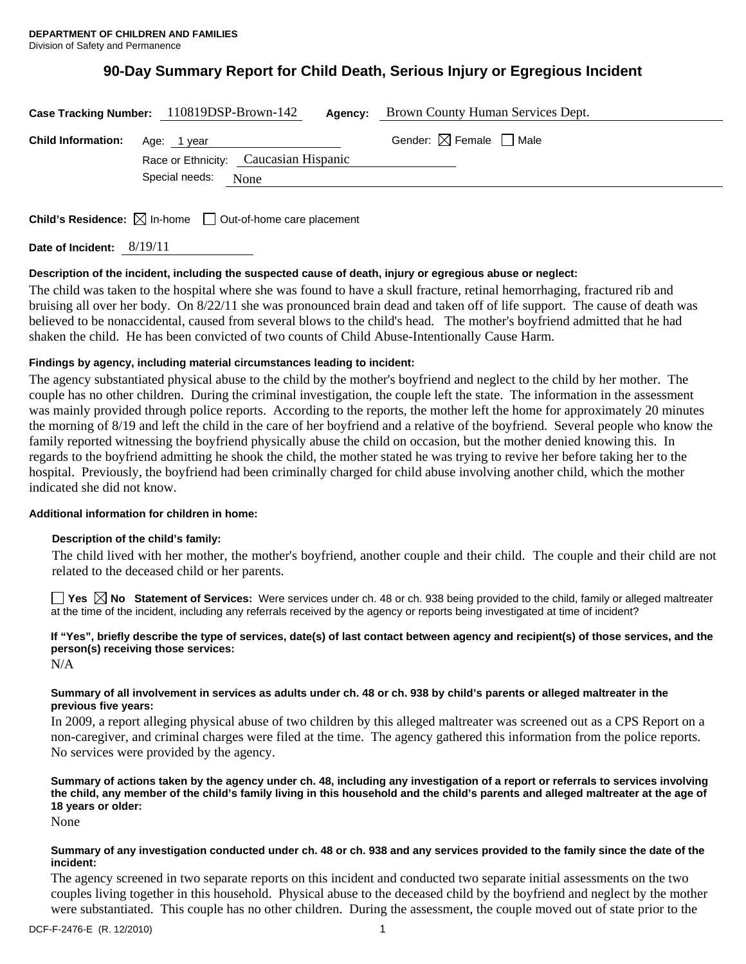# **90-Day Summary Report for Child Death, Serious Injury or Egregious Incident**

|                                       | Case Tracking Number: 110819DSP-Brown-142 | Agency:                                | Brown County Human Services Dept. |
|---------------------------------------|-------------------------------------------|----------------------------------------|-----------------------------------|
| <b>Child Information:</b> Age: 1 year |                                           | Gender: $\boxtimes$ Female $\Box$ Male |                                   |
|                                       | Race or Ethnicity: Caucasian Hispanic     |                                        |                                   |
|                                       | Special needs:<br>None                    |                                        |                                   |
|                                       |                                           |                                        |                                   |

**Child's Residence:**  $\boxtimes$  In-home  $\Box$  Out-of-home care placement

**Date of Incident:** 8/19/11

### **Description of the incident, including the suspected cause of death, injury or egregious abuse or neglect:**

The child was taken to the hospital where she was found to have a skull fracture, retinal hemorrhaging, fractured rib and bruising all over her body. On 8/22/11 she was pronounced brain dead and taken off of life support. The cause of death was believed to be nonaccidental, caused from several blows to the child's head. The mother's boyfriend admitted that he had shaken the child. He has been convicted of two counts of Child Abuse-Intentionally Cause Harm.

### **Findings by agency, including material circumstances leading to incident:**

The agency substantiated physical abuse to the child by the mother's boyfriend and neglect to the child by her mother. The couple has no other children. During the criminal investigation, the couple left the state. The information in the assessment was mainly provided through police reports. According to the reports, the mother left the home for approximately 20 minutes the morning of 8/19 and left the child in the care of her boyfriend and a relative of the boyfriend. Several people who know the family reported witnessing the boyfriend physically abuse the child on occasion, but the mother denied knowing this. In regards to the boyfriend admitting he shook the child, the mother stated he was trying to revive her before taking her to the hospital. Previously, the boyfriend had been criminally charged for child abuse involving another child, which the mother indicated she did not know.

#### **Additional information for children in home:**

#### **Description of the child's family:**

The child lived with her mother, the mother's boyfriend, another couple and their child. The couple and their child are not related to the deceased child or her parents.

■ Yes △ No Statement of Services: Were services under ch. 48 or ch. 938 being provided to the child, family or alleged maltreater at the time of the incident, including any referrals received by the agency or reports being investigated at time of incident?

# **If "Yes", briefly describe the type of services, date(s) of last contact between agency and recipient(s) of those services, and the person(s) receiving those services:**

N/A

### **Summary of all involvement in services as adults under ch. 48 or ch. 938 by child's parents or alleged maltreater in the previous five years:**

In 2009, a report alleging physical abuse of two children by this alleged maltreater was screened out as a CPS Report on a non-caregiver, and criminal charges were filed at the time. The agency gathered this information from the police reports. No services were provided by the agency.

### **Summary of actions taken by the agency under ch. 48, including any investigation of a report or referrals to services involving the child, any member of the child's family living in this household and the child's parents and alleged maltreater at the age of 18 years or older:**

None

### **Summary of any investigation conducted under ch. 48 or ch. 938 and any services provided to the family since the date of the incident:**

The agency screened in two separate reports on this incident and conducted two separate initial assessments on the two couples living together in this household. Physical abuse to the deceased child by the boyfriend and neglect by the mother were substantiated. This couple has no other children. During the assessment, the couple moved out of state prior to the